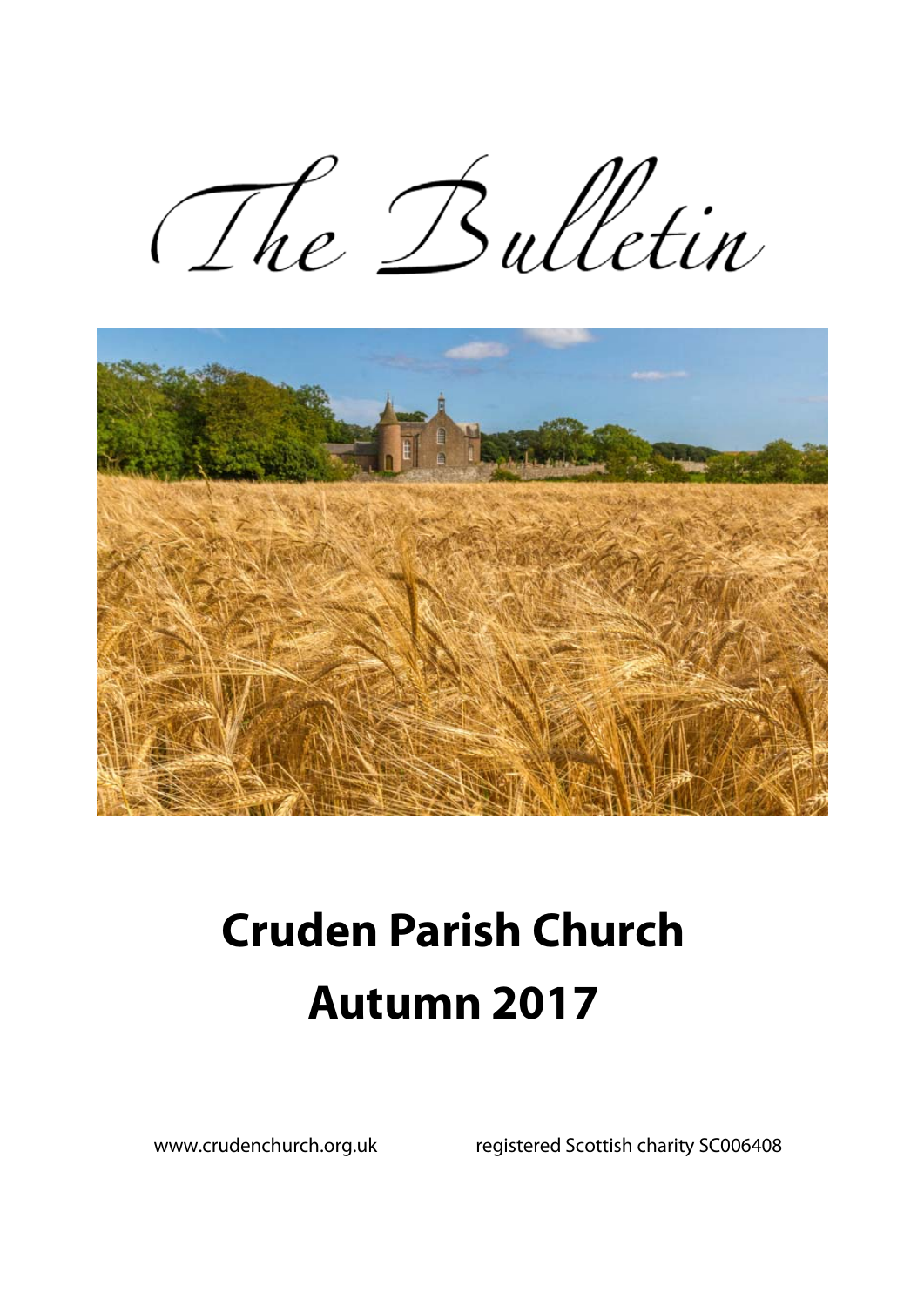The Bulletin



# **Cruden Parish Church Autumn 2017**

www.crudenchurch.org.uk registered Scottish charity SC006408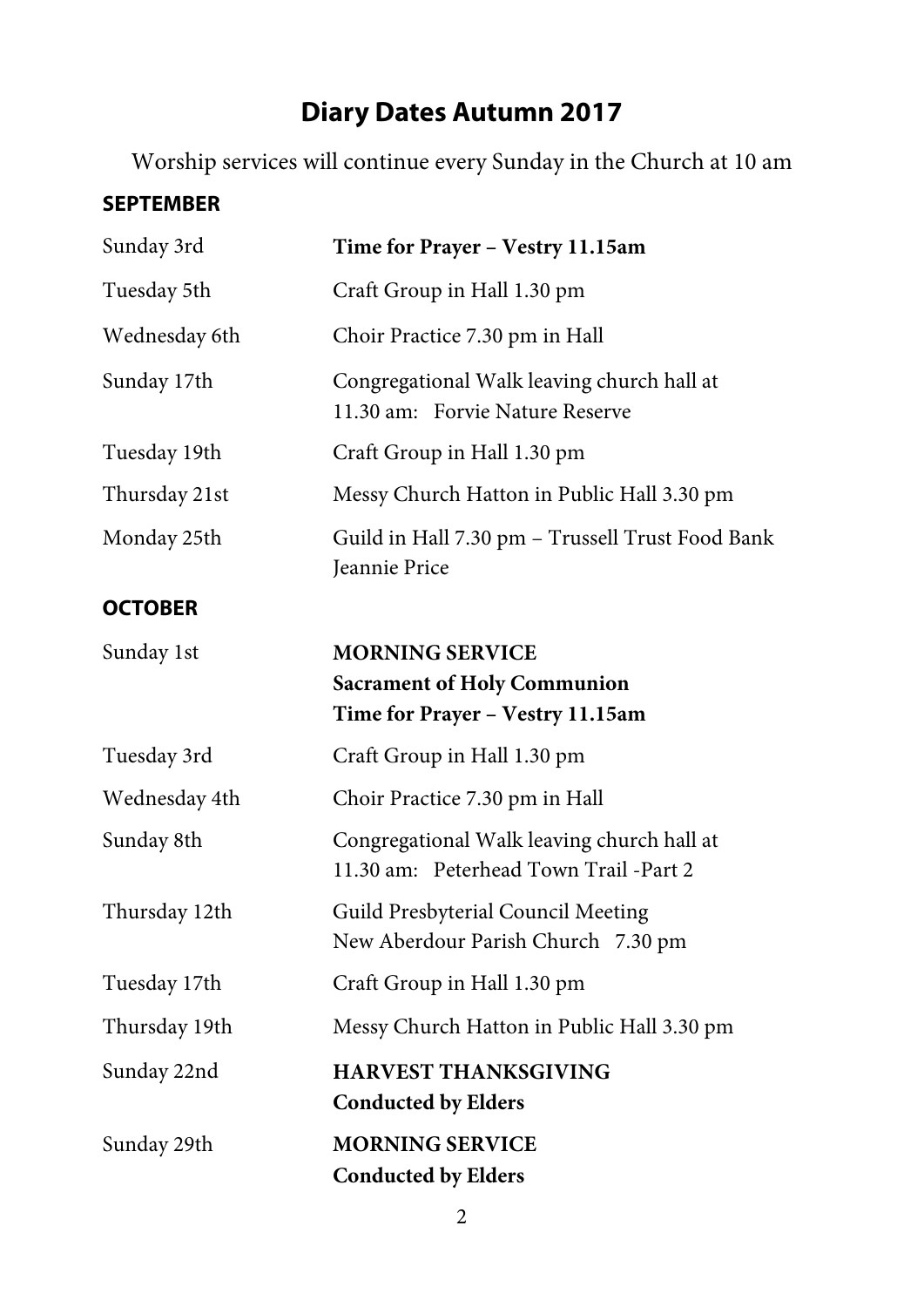# **Diary Dates Autumn 2017**

Worship services will continue every Sunday in the Church at 10 am

#### **SEPTEMBER**

| Sunday 3rd     | Time for Prayer - Vestry 11.15am                                                                 |
|----------------|--------------------------------------------------------------------------------------------------|
| Tuesday 5th    | Craft Group in Hall 1.30 pm                                                                      |
| Wednesday 6th  | Choir Practice 7.30 pm in Hall                                                                   |
| Sunday 17th    | Congregational Walk leaving church hall at<br>11.30 am: Forvie Nature Reserve                    |
| Tuesday 19th   | Craft Group in Hall 1.30 pm                                                                      |
| Thursday 21st  | Messy Church Hatton in Public Hall 3.30 pm                                                       |
| Monday 25th    | Guild in Hall 7.30 pm - Trussell Trust Food Bank<br><b>Jeannie Price</b>                         |
| <b>OCTOBER</b> |                                                                                                  |
| Sunday 1st     | <b>MORNING SERVICE</b><br><b>Sacrament of Holy Communion</b><br>Time for Prayer - Vestry 11.15am |
| Tuesday 3rd    | Craft Group in Hall 1.30 pm                                                                      |
| Wednesday 4th  | Choir Practice 7.30 pm in Hall                                                                   |
| Sunday 8th     | Congregational Walk leaving church hall at<br>11.30 am: Peterhead Town Trail -Part 2             |
| Thursday 12th  | Guild Presbyterial Council Meeting<br>New Aberdour Parish Church 7.30 pm                         |
| Tuesday 17th   | Craft Group in Hall 1.30 pm                                                                      |
| Thursday 19th  | Messy Church Hatton in Public Hall 3.30 pm                                                       |
| Sunday 22nd    | <b>HARVEST THANKSGIVING</b><br><b>Conducted by Elders</b>                                        |
| Sunday 29th    | <b>MORNING SERVICE</b><br><b>Conducted by Elders</b>                                             |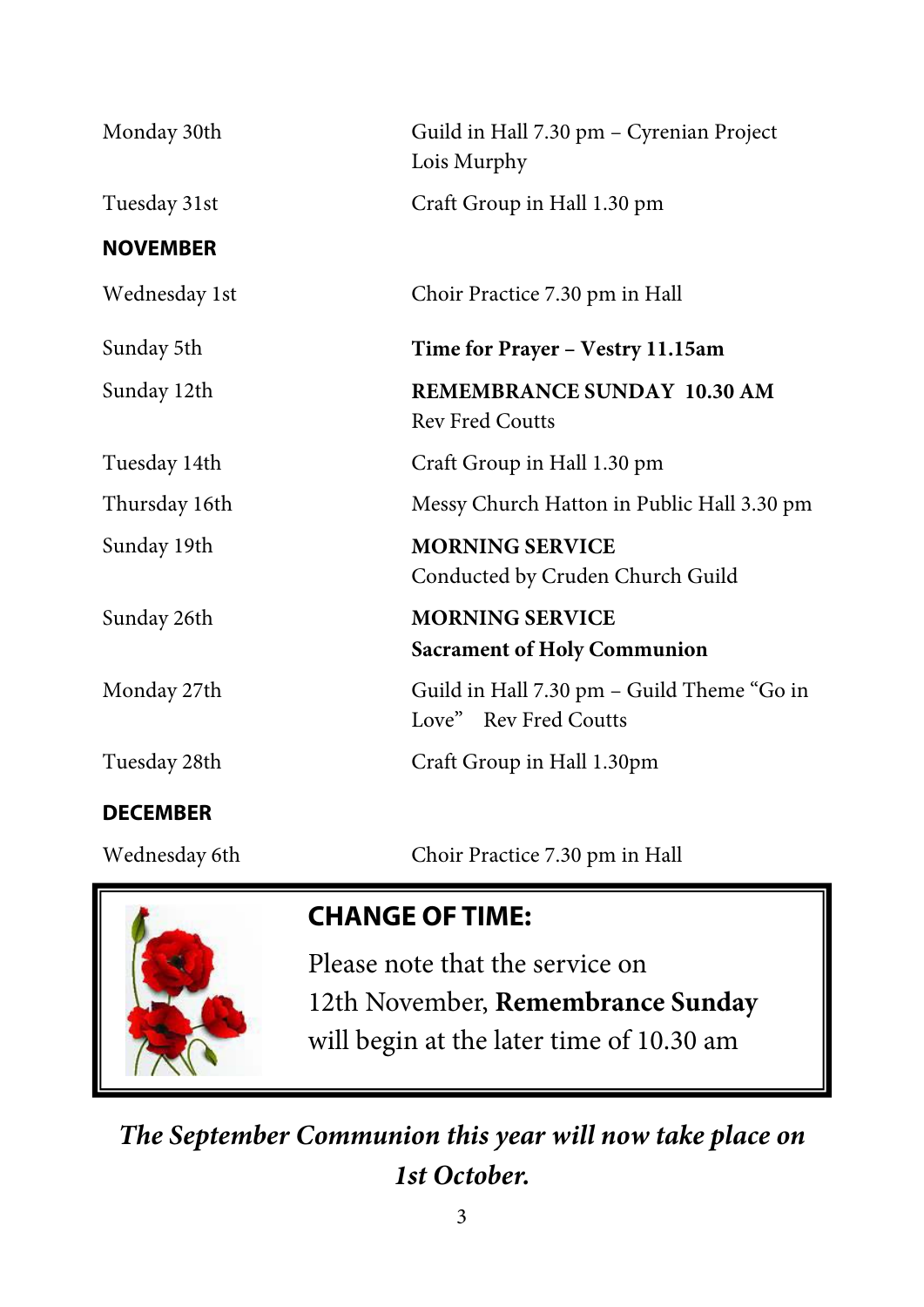| Monday 30th     | Guild in Hall 7.30 pm - Cyrenian Project<br>Lois Murphy             |
|-----------------|---------------------------------------------------------------------|
| Tuesday 31st    | Craft Group in Hall 1.30 pm                                         |
| <b>NOVEMBER</b> |                                                                     |
| Wednesday 1st   | Choir Practice 7.30 pm in Hall                                      |
| Sunday 5th      | Time for Prayer - Vestry 11.15am                                    |
| Sunday 12th     | <b>REMEMBRANCE SUNDAY 10.30 AM</b><br><b>Rev Fred Coutts</b>        |
| Tuesday 14th    | Craft Group in Hall 1.30 pm                                         |
| Thursday 16th   | Messy Church Hatton in Public Hall 3.30 pm                          |
| Sunday 19th     | <b>MORNING SERVICE</b><br>Conducted by Cruden Church Guild          |
| Sunday 26th     | <b>MORNING SERVICE</b>                                              |
|                 | <b>Sacrament of Holy Communion</b>                                  |
| Monday 27th     | Guild in Hall 7.30 pm - Guild Theme "Go in<br>Love" Rev Fred Coutts |
| Tuesday 28th    | Craft Group in Hall 1.30pm                                          |
| <b>DECEMBER</b> |                                                                     |
| Wednesday 6th   | Choir Practice 7.30 pm in Hall                                      |



# **CHANGE OF TIME:**

Please note that the service on 12th November, **Remembrance Sunday** will begin at the later time of 10.30 am

*The September Communion this year will now take place on 1st October.*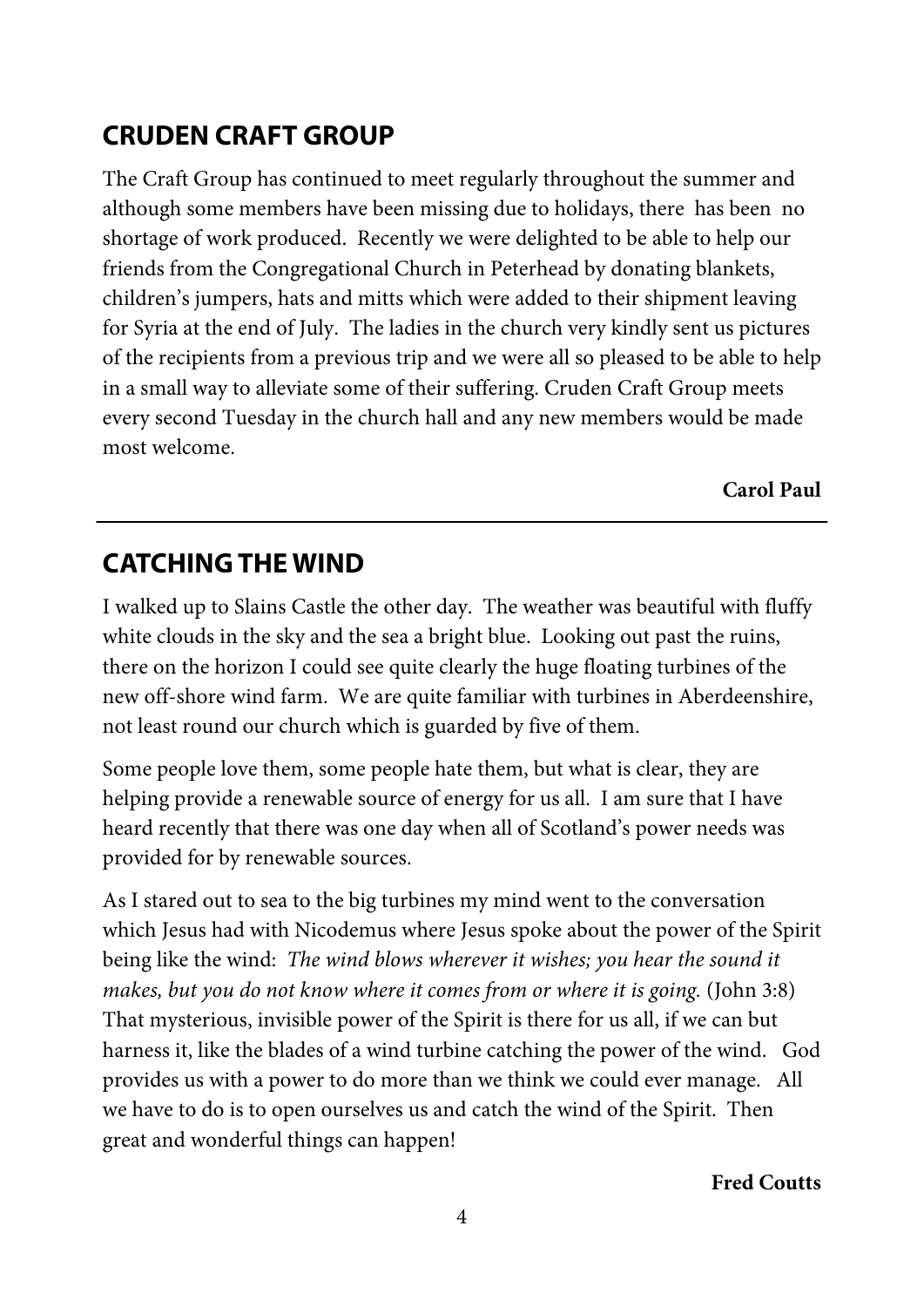# **CRUDEN CRAFT GROUP**

The Craft Group has continued to meet regularly throughout the summer and although some members have been missing due to holidays, there has been no shortage of work produced. Recently we were delighted to be able to help our friends from the Congregational Church in Peterhead by donating blankets, children's jumpers, hats and mitts which were added to their shipment leaving for Syria at the end of July. The ladies in the church very kindly sent us pictures of the recipients from a previous trip and we were all so pleased to be able to help in a small way to alleviate some of their suffering. Cruden Craft Group meets every second Tuesday in the church hall and any new members would be made most welcome.

**Carol Paul** 

# **CATCHING THE WIND**

I walked up to Slains Castle the other day. The weather was beautiful with fluffy white clouds in the sky and the sea a bright blue. Looking out past the ruins, there on the horizon I could see quite clearly the huge floating turbines of the new off-shore wind farm. We are quite familiar with turbines in Aberdeenshire, not least round our church which is guarded by five of them.

Some people love them, some people hate them, but what is clear, they are helping provide a renewable source of energy for us all. I am sure that I have heard recently that there was one day when all of Scotland's power needs was provided for by renewable sources.

As I stared out to sea to the big turbines my mind went to the conversation which Jesus had with Nicodemus where Jesus spoke about the power of the Spirit being like the wind: *The wind blows wherever it wishes; you hear the sound it makes, but you do not know where it comes from or where it is going.* (John 3:8) That mysterious, invisible power of the Spirit is there for us all, if we can but harness it, like the blades of a wind turbine catching the power of the wind. God provides us with a power to do more than we think we could ever manage. All we have to do is to open ourselves us and catch the wind of the Spirit. Then great and wonderful things can happen!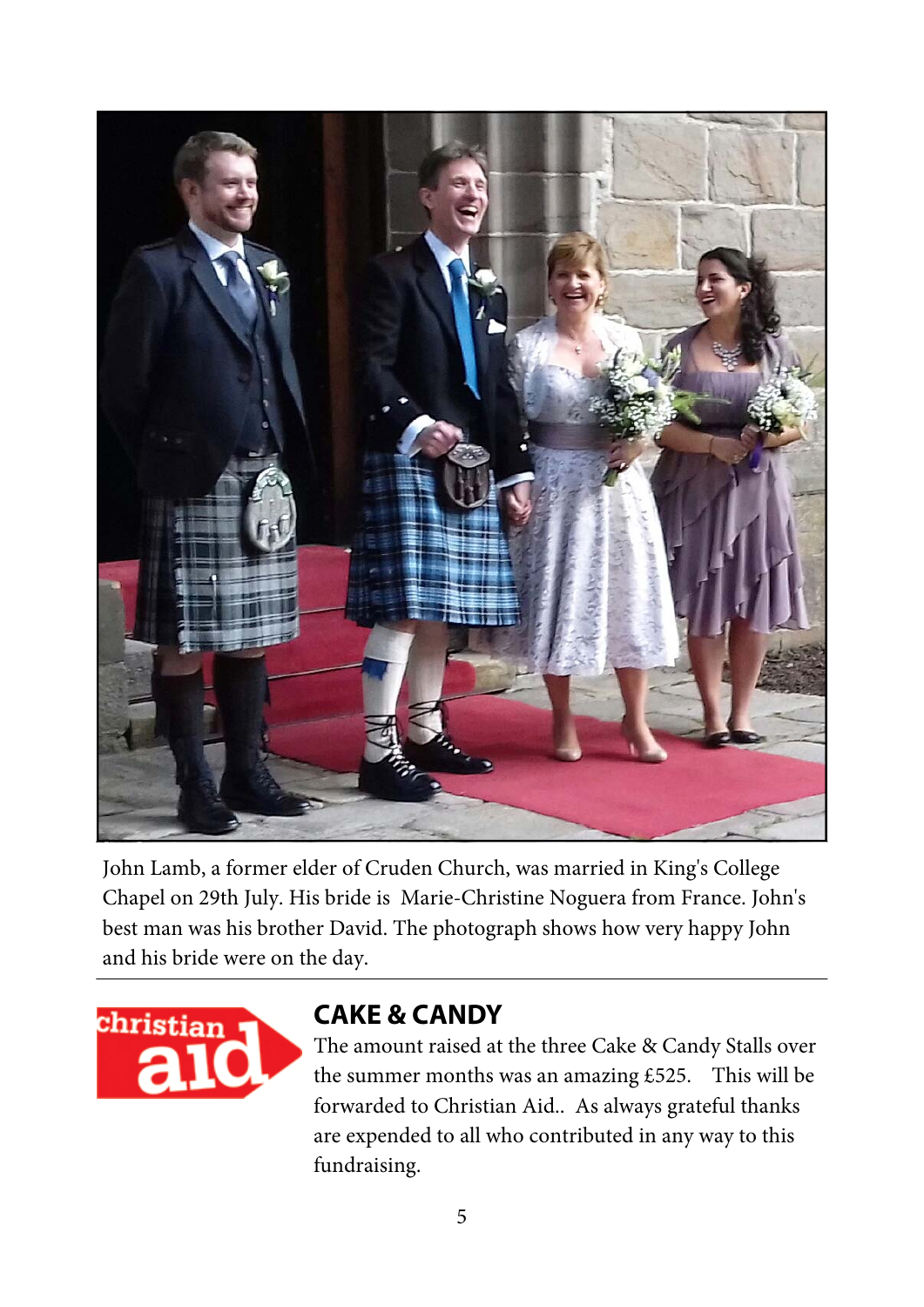

John Lamb, a former elder of Cruden Church, was married in King's College Chapel on 29th July. His bride is Marie-Christine Noguera from France. John's best man was his brother David. The photograph shows how very happy John and his bride were on the day.



### **CAKE & CANDY**

The amount raised at the three Cake & Candy Stalls over the summer months was an amazing £525. This will be forwarded to Christian Aid.. As always grateful thanks are expended to all who contributed in any way to this fundraising.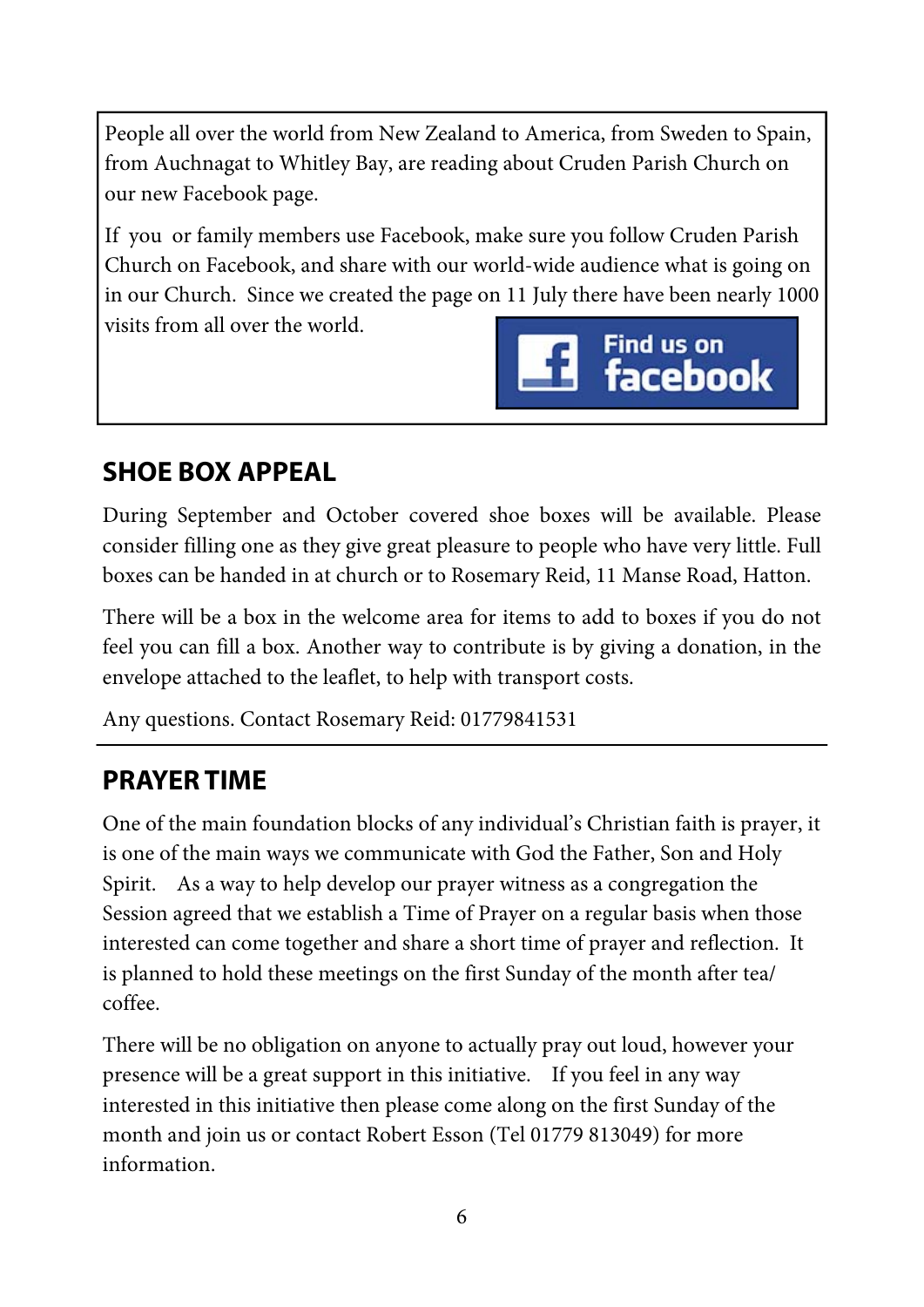People all over the world from New Zealand to America, from Sweden to Spain, from Auchnagat to Whitley Bay, are reading about Cruden Parish Church on our new Facebook page.

If you or family members use Facebook, make sure you follow Cruden Parish Church on Facebook, and share with our world-wide audience what is going on in our Church. Since we created the page on 11 July there have been nearly 1000 visits from all over the world.



# **SHOE BOX APPEAL**

During September and October covered shoe boxes will be available. Please consider filling one as they give great pleasure to people who have very little. Full boxes can be handed in at church or to Rosemary Reid, 11 Manse Road, Hatton.

There will be a box in the welcome area for items to add to boxes if you do not feel you can fill a box. Another way to contribute is by giving a donation, in the envelope attached to the leaflet, to help with transport costs.

Any questions. Contact Rosemary Reid: 01779841531

# **PRAYER TIME**

One of the main foundation blocks of any individual's Christian faith is prayer, it is one of the main ways we communicate with God the Father, Son and Holy Spirit. As a way to help develop our prayer witness as a congregation the Session agreed that we establish a Time of Prayer on a regular basis when those interested can come together and share a short time of prayer and reflection. It is planned to hold these meetings on the first Sunday of the month after tea/ coffee.

There will be no obligation on anyone to actually pray out loud, however your presence will be a great support in this initiative. If you feel in any way interested in this initiative then please come along on the first Sunday of the month and join us or contact Robert Esson (Tel 01779 813049) for more information.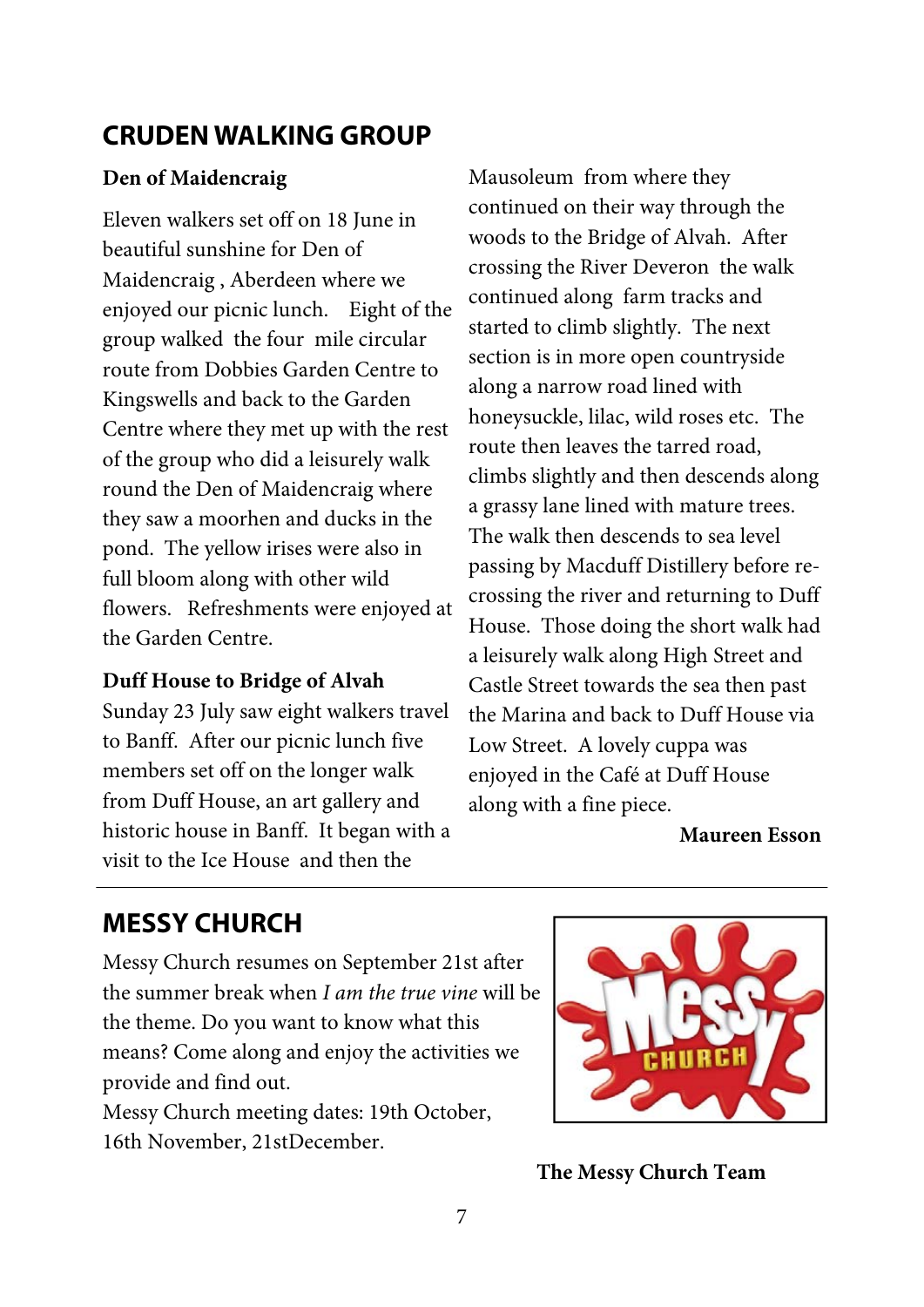### **CRUDEN WALKING GROUP**

#### **Den of Maidencraig**

Eleven walkers set off on 18 June in beautiful sunshine for Den of Maidencraig , Aberdeen where we enjoyed our picnic lunch. Eight of the group walked the four mile circular route from Dobbies Garden Centre to Kingswells and back to the Garden Centre where they met up with the rest of the group who did a leisurely walk round the Den of Maidencraig where they saw a moorhen and ducks in the pond. The yellow irises were also in full bloom along with other wild flowers. Refreshments were enjoyed at the Garden Centre.

#### **Duff House to Bridge of Alvah**

Sunday 23 July saw eight walkers travel to Banff. After our picnic lunch five members set off on the longer walk from Duff House, an art gallery and historic house in Banff. It began with a visit to the Ice House and then the

Mausoleum from where they continued on their way through the woods to the Bridge of Alvah. After crossing the River Deveron the walk continued along farm tracks and started to climb slightly. The next section is in more open countryside along a narrow road lined with honeysuckle, lilac, wild roses etc. The route then leaves the tarred road, climbs slightly and then descends along a grassy lane lined with mature trees. The walk then descends to sea level passing by Macduff Distillery before recrossing the river and returning to Duff House. Those doing the short walk had a leisurely walk along High Street and Castle Street towards the sea then past the Marina and back to Duff House via Low Street. A lovely cuppa was enjoyed in the Café at Duff House along with a fine piece.

**Maureen Esson** 

# **MESSY CHURCH**

Messy Church resumes on September 21st after the summer break when *I am the true vine* will be the theme. Do you want to know what this means? Come along and enjoy the activities we provide and find out.

Messy Church meeting dates: 19th October, 16th November, 21stDecember.



**The Messy Church Team**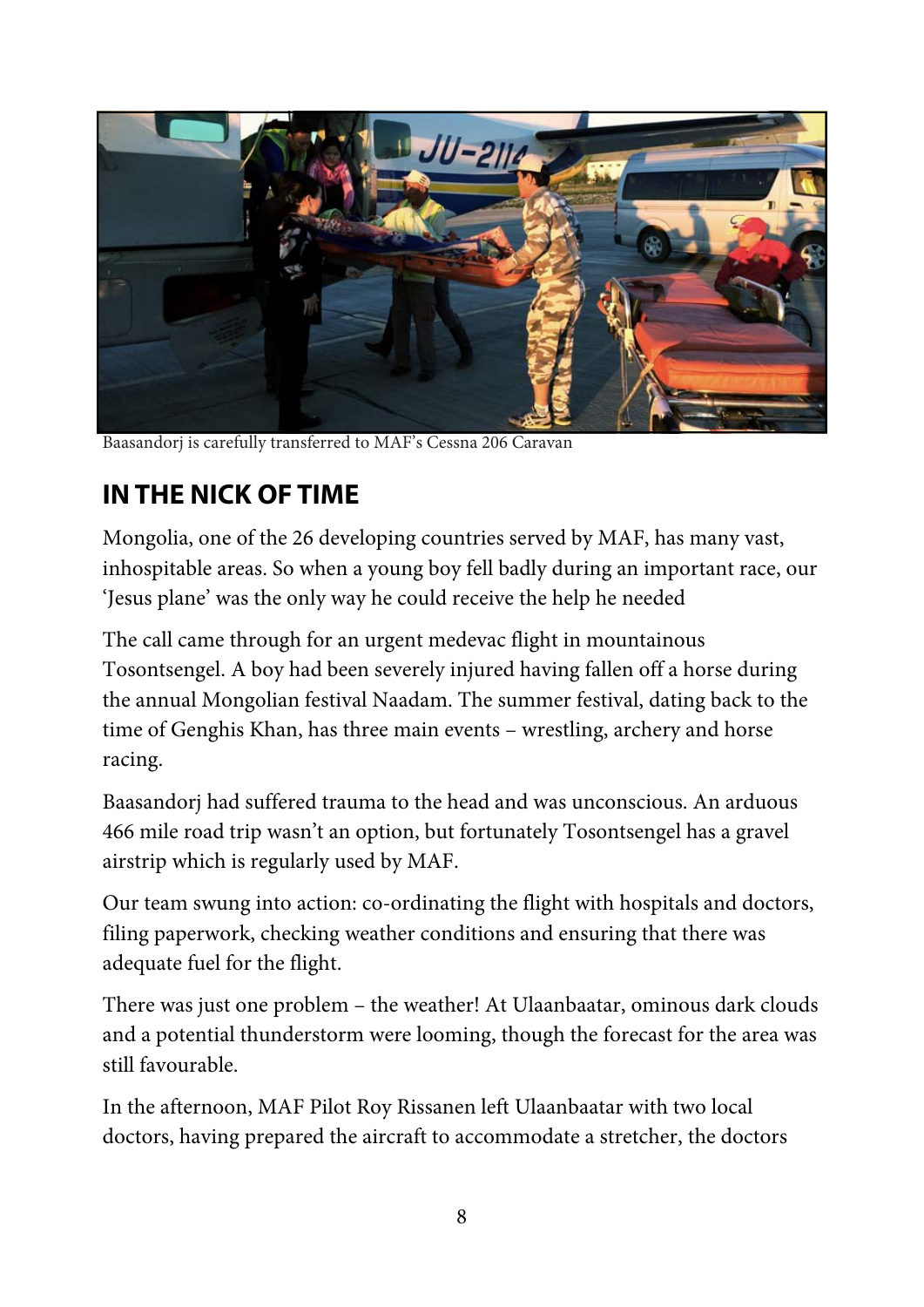

Baasandorj is carefully transferred to MAF's Cessna 206 Caravan

# **IN THE NICK OF TIME**

Mongolia, one of the 26 developing countries served by MAF, has many vast, inhospitable areas. So when a young boy fell badly during an important race, our 'Jesus plane' was the only way he could receive the help he needed

The call came through for an urgent medevac flight in mountainous Tosontsengel. A boy had been severely injured having fallen off a horse during the annual Mongolian festival Naadam. The summer festival, dating back to the time of Genghis Khan, has three main events – wrestling, archery and horse racing.

Baasandorj had suffered trauma to the head and was unconscious. An arduous 466 mile road trip wasn't an option, but fortunately Tosontsengel has a gravel airstrip which is regularly used by MAF.

Our team swung into action: co-ordinating the flight with hospitals and doctors, filing paperwork, checking weather conditions and ensuring that there was adequate fuel for the flight.

There was just one problem – the weather! At Ulaanbaatar, ominous dark clouds and a potential thunderstorm were looming, though the forecast for the area was still favourable.

In the afternoon, MAF Pilot Roy Rissanen left Ulaanbaatar with two local doctors, having prepared the aircraft to accommodate a stretcher, the doctors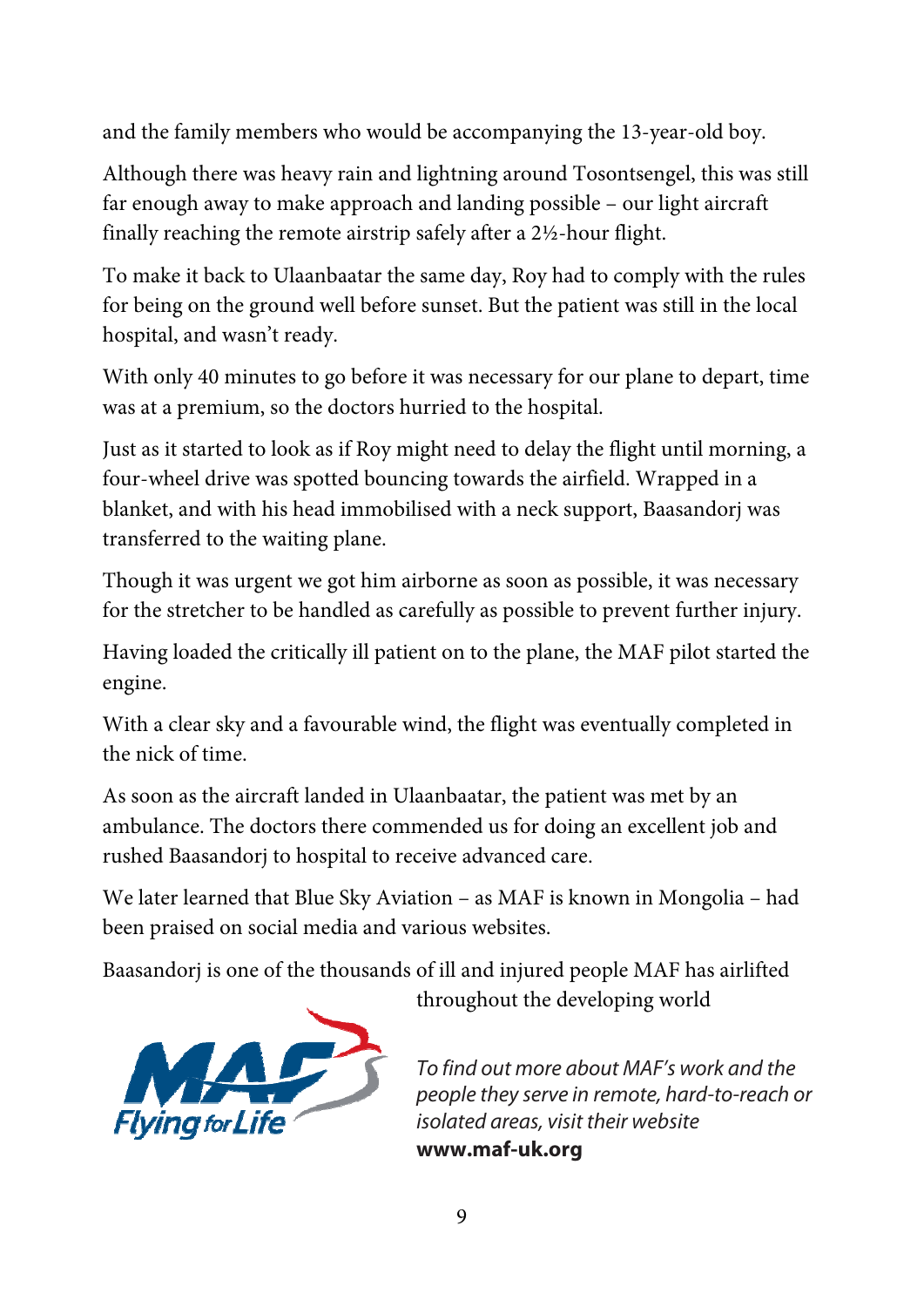and the family members who would be accompanying the 13-year-old boy.

Although there was heavy rain and lightning around Tosontsengel, this was still far enough away to make approach and landing possible – our light aircraft finally reaching the remote airstrip safely after a 2½-hour flight.

To make it back to Ulaanbaatar the same day, Roy had to comply with the rules for being on the ground well before sunset. But the patient was still in the local hospital, and wasn't ready.

With only 40 minutes to go before it was necessary for our plane to depart, time was at a premium, so the doctors hurried to the hospital.

Just as it started to look as if Roy might need to delay the flight until morning, a four-wheel drive was spotted bouncing towards the airfield. Wrapped in a blanket, and with his head immobilised with a neck support, Baasandorj was transferred to the waiting plane.

Though it was urgent we got him airborne as soon as possible, it was necessary for the stretcher to be handled as carefully as possible to prevent further injury.

Having loaded the critically ill patient on to the plane, the MAF pilot started the engine.

With a clear sky and a favourable wind, the flight was eventually completed in the nick of time.

As soon as the aircraft landed in Ulaanbaatar, the patient was met by an ambulance. The doctors there commended us for doing an excellent job and rushed Baasandorj to hospital to receive advanced care.

We later learned that Blue Sky Aviation – as MAF is known in Mongolia – had been praised on social media and various websites.

Baasandorj is one of the thousands of ill and injured people MAF has airlifted



throughout the developing world

To find out more about MAF's work and the people they serve in remote, hard-to-reach or isolated areas, visit their website **www.maf-uk.org**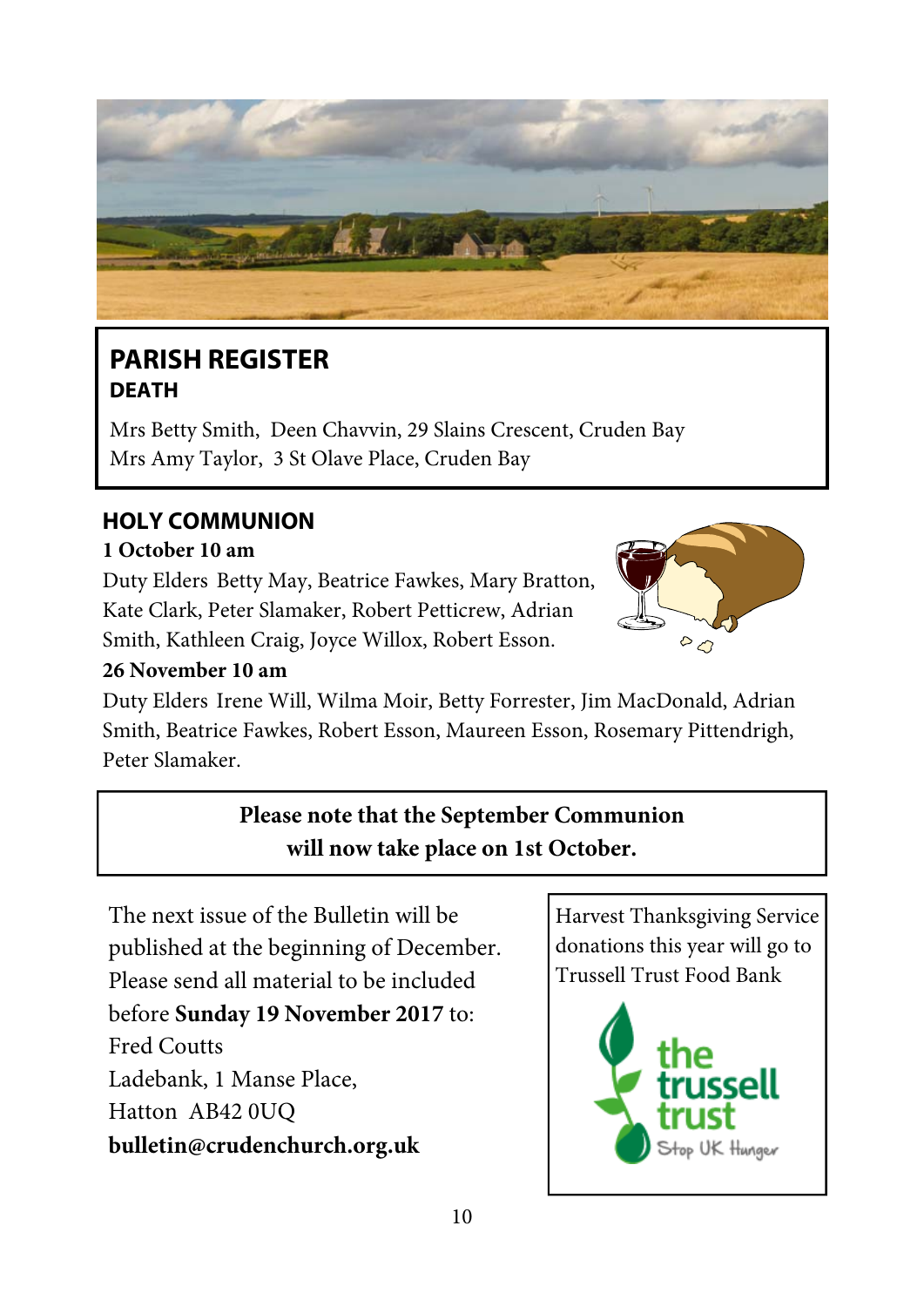

### **PARISH REGISTER DEATH**

Mrs Betty Smith, Deen Chavvin, 29 Slains Crescent, Cruden Bay Mrs Amy Taylor, 3 St Olave Place, Cruden Bay

### **HOLY COMMUNION**

#### **1 October 10 am**

Duty Elders Betty May, Beatrice Fawkes, Mary Bratton, Kate Clark, Peter Slamaker, Robert Petticrew, Adrian Smith, Kathleen Craig, Joyce Willox, Robert Esson.



#### **26 November 10 am**

Duty Elders Irene Will, Wilma Moir, Betty Forrester, Jim MacDonald, Adrian Smith, Beatrice Fawkes, Robert Esson, Maureen Esson, Rosemary Pittendrigh, Peter Slamaker.

### **Please note that the September Communion will now take place on 1st October.**

The next issue of the Bulletin will be published at the beginning of December. Please send all material to be included before **Sunday 19 November 2017** to: Fred Coutts Ladebank, 1 Manse Place, Hatton AB42 0UQ **bulletin@crudenchurch.org.uk**

Harvest Thanksgiving Service donations this year will go to Trussell Trust Food Bank

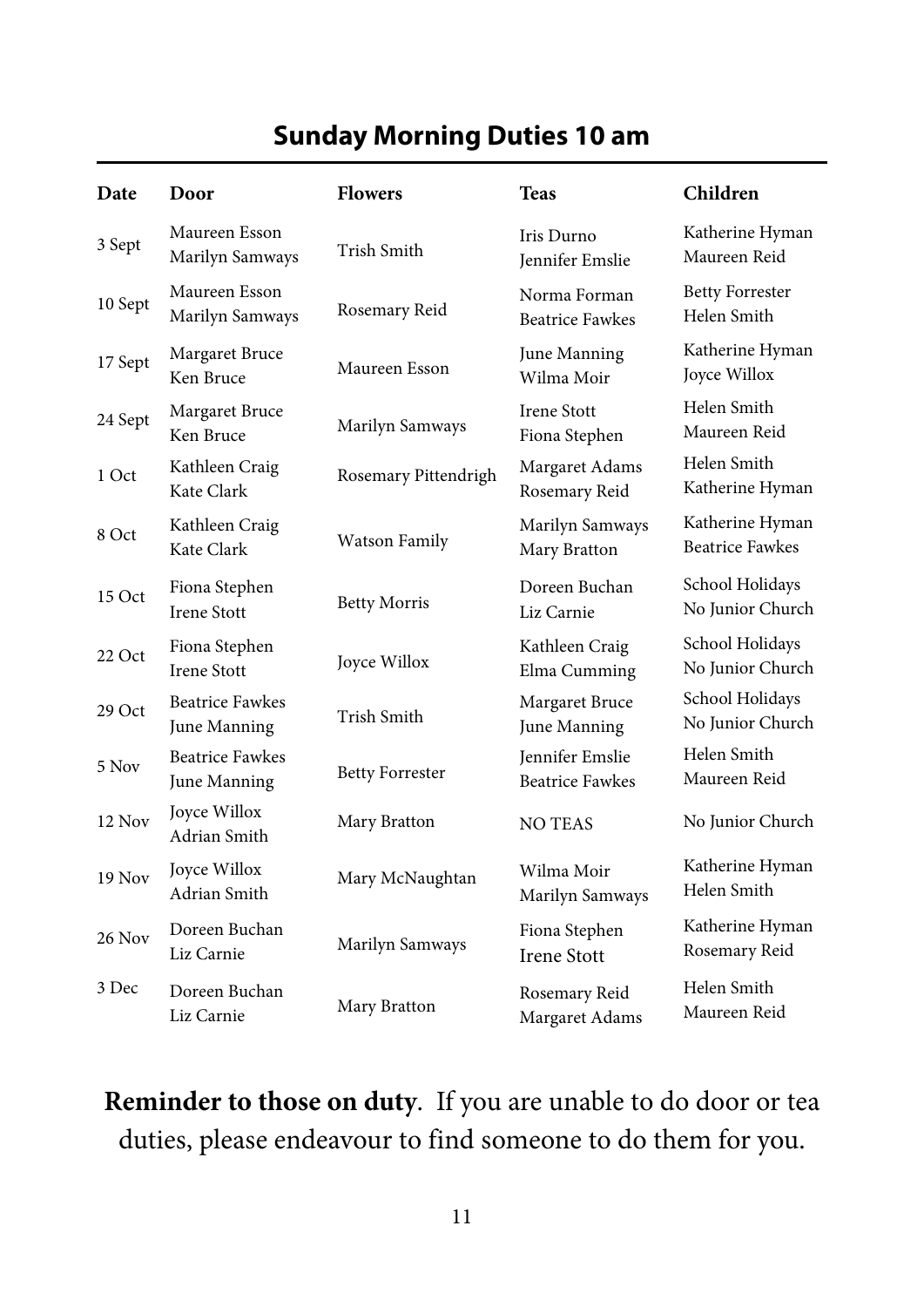### **Sunday Morning Duties 10 am**

| Date          | Door                                   | <b>Flowers</b>         | <b>Teas</b>                                      | Children                                  |
|---------------|----------------------------------------|------------------------|--------------------------------------------------|-------------------------------------------|
| 3 Sept        | Maureen Esson<br>Marilyn Samways       | Trish Smith            | Iris Durno<br>Jennifer Emslie                    | Katherine Hyman<br>Maureen Reid           |
| 10 Sept       | Maureen Esson<br>Marilyn Samways       | Rosemary Reid          | Norma Forman<br><b>Beatrice Fawkes</b>           | <b>Betty Forrester</b><br>Helen Smith     |
| 17 Sept       | Margaret Bruce<br>Ken Bruce            | Maureen Esson          | June Manning<br>Wilma Moir                       | Katherine Hyman<br>Joyce Willox           |
| 24 Sept       | Margaret Bruce<br>Ken Bruce            | Marilyn Samways        | <b>Irene Stott</b><br>Fiona Stephen              | Helen Smith<br>Maureen Reid               |
| 1 Oct         | Kathleen Craig<br>Kate Clark           | Rosemary Pittendrigh   | Margaret Adams<br>Rosemary Reid                  | Helen Smith<br>Katherine Hyman            |
| 8 Oct         | Kathleen Craig<br>Kate Clark           | <b>Watson Family</b>   | Marilyn Samways<br>Mary Bratton                  | Katherine Hyman<br><b>Beatrice Fawkes</b> |
| 15 Oct        | Fiona Stephen<br><b>Irene Stott</b>    | <b>Betty Morris</b>    | Doreen Buchan<br>Liz Carnie                      | School Holidays<br>No Junior Church       |
| 22 Oct        | Fiona Stephen<br><b>Irene Stott</b>    | Joyce Willox           | Kathleen Craig<br>Elma Cumming                   | School Holidays<br>No Junior Church       |
| 29 Oct        | <b>Beatrice Fawkes</b><br>June Manning | Trish Smith            | Margaret Bruce<br>June Manning                   | School Holidays<br>No Junior Church       |
| 5 Nov         | <b>Beatrice Fawkes</b><br>June Manning | <b>Betty Forrester</b> | <b>Iennifer Emslie</b><br><b>Beatrice Fawkes</b> | Helen Smith<br>Maureen Reid               |
| 12 Nov        | Joyce Willox<br>Adrian Smith           | Mary Bratton           | <b>NO TEAS</b>                                   | No Junior Church                          |
| <b>19 Nov</b> | Joyce Willox<br>Adrian Smith           | Mary McNaughtan        | Wilma Moir<br>Marilyn Samways                    | Katherine Hyman<br>Helen Smith            |
| 26 Nov        | Doreen Buchan<br>Liz Carnie            | Marilyn Samways        | Fiona Stephen<br><b>Irene Stott</b>              | Katherine Hyman<br>Rosemary Reid          |
| 3 Dec         | Doreen Buchan<br>Liz Carnie            | Mary Bratton           | Rosemary Reid<br>Margaret Adams                  | Helen Smith<br>Maureen Reid               |

**Reminder to those on duty**. If you are unable to do door or tea duties, please endeavour to find someone to do them for you.